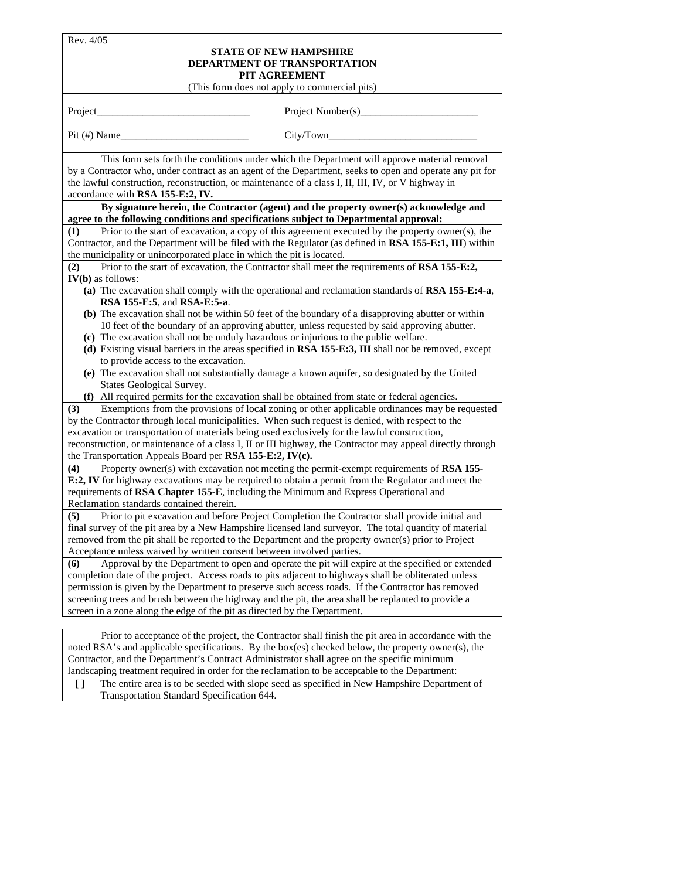| Rev. 4/05                                          |                                                                                                                                                                                                                                                                                                                                                                                                                                                                                                    |  |  |  |
|----------------------------------------------------|----------------------------------------------------------------------------------------------------------------------------------------------------------------------------------------------------------------------------------------------------------------------------------------------------------------------------------------------------------------------------------------------------------------------------------------------------------------------------------------------------|--|--|--|
|                                                    | <b>STATE OF NEW HAMPSHIRE</b>                                                                                                                                                                                                                                                                                                                                                                                                                                                                      |  |  |  |
|                                                    | <b>DEPARTMENT OF TRANSPORTATION</b>                                                                                                                                                                                                                                                                                                                                                                                                                                                                |  |  |  |
|                                                    | PIT AGREEMENT                                                                                                                                                                                                                                                                                                                                                                                                                                                                                      |  |  |  |
| (This form does not apply to commercial pits)      |                                                                                                                                                                                                                                                                                                                                                                                                                                                                                                    |  |  |  |
| Project_                                           |                                                                                                                                                                                                                                                                                                                                                                                                                                                                                                    |  |  |  |
| $Pit(\#) Name$                                     |                                                                                                                                                                                                                                                                                                                                                                                                                                                                                                    |  |  |  |
| accordance with RSA 155-E:2, IV.                   | This form sets forth the conditions under which the Department will approve material removal<br>by a Contractor who, under contract as an agent of the Department, seeks to open and operate any pit for<br>the lawful construction, reconstruction, or maintenance of a class I, II, III, IV, or V highway in                                                                                                                                                                                     |  |  |  |
|                                                    | By signature herein, the Contractor (agent) and the property owner(s) acknowledge and<br>agree to the following conditions and specifications subject to Departmental approval:                                                                                                                                                                                                                                                                                                                    |  |  |  |
| (1)                                                | Prior to the start of excavation, a copy of this agreement executed by the property owner(s), the                                                                                                                                                                                                                                                                                                                                                                                                  |  |  |  |
|                                                    | Contractor, and the Department will be filed with the Regulator (as defined in RSA 155-E:1, III) within                                                                                                                                                                                                                                                                                                                                                                                            |  |  |  |
|                                                    | the municipality or unincorporated place in which the pit is located.                                                                                                                                                                                                                                                                                                                                                                                                                              |  |  |  |
| (2)                                                | Prior to the start of excavation, the Contractor shall meet the requirements of RSA 155-E:2,                                                                                                                                                                                                                                                                                                                                                                                                       |  |  |  |
| $IV(b)$ as follows:<br>RSA 155-E:5, and RSA-E:5-a. | (a) The excavation shall comply with the operational and reclamation standards of RSA 155-E:4-a,                                                                                                                                                                                                                                                                                                                                                                                                   |  |  |  |
|                                                    | (b) The excavation shall not be within 50 feet of the boundary of a disapproving abutter or within<br>10 feet of the boundary of an approving abutter, unless requested by said approving abutter.<br>(c) The excavation shall not be unduly hazardous or injurious to the public welfare.                                                                                                                                                                                                         |  |  |  |
| to provide access to the excavation.               | (d) Existing visual barriers in the areas specified in RSA 155-E:3, III shall not be removed, except                                                                                                                                                                                                                                                                                                                                                                                               |  |  |  |
| States Geological Survey.                          | (e) The excavation shall not substantially damage a known aquifer, so designated by the United                                                                                                                                                                                                                                                                                                                                                                                                     |  |  |  |
|                                                    | (f) All required permits for the excavation shall be obtained from state or federal agencies.                                                                                                                                                                                                                                                                                                                                                                                                      |  |  |  |
| (3)                                                | Exemptions from the provisions of local zoning or other applicable ordinances may be requested<br>by the Contractor through local municipalities. When such request is denied, with respect to the<br>excavation or transportation of materials being used exclusively for the lawful construction,                                                                                                                                                                                                |  |  |  |
|                                                    | reconstruction, or maintenance of a class I, II or III highway, the Contractor may appeal directly through<br>the Transportation Appeals Board per RSA 155-E:2, IV(c).                                                                                                                                                                                                                                                                                                                             |  |  |  |
| (4)<br>Reclamation standards contained therein.    | Property owner(s) with excavation not meeting the permit-exempt requirements of RSA 155-<br>E:2, IV for highway excavations may be required to obtain a permit from the Regulator and meet the<br>requirements of RSA Chapter 155-E, including the Minimum and Express Operational and                                                                                                                                                                                                             |  |  |  |
| (5)                                                | Prior to pit excavation and before Project Completion the Contractor shall provide initial and<br>final survey of the pit area by a New Hampshire licensed land surveyor. The total quantity of material<br>removed from the pit shall be reported to the Department and the property owner(s) prior to Project<br>Acceptance unless waived by written consent between involved parties.                                                                                                           |  |  |  |
| (6)                                                | Approval by the Department to open and operate the pit will expire at the specified or extended<br>completion date of the project. Access roads to pits adjacent to highways shall be obliterated unless<br>permission is given by the Department to preserve such access roads. If the Contractor has removed<br>screening trees and brush between the highway and the pit, the area shall be replanted to provide a<br>screen in a zone along the edge of the pit as directed by the Department. |  |  |  |
|                                                    | Prior to acceptance of the project, the Contractor shall finish the pit area in accordance with the                                                                                                                                                                                                                                                                                                                                                                                                |  |  |  |

noted RSA's and applicable specifications. By the box(es) checked below, the property owner(s), the Contractor, and the Department's Contract Administrator shall agree on the specific minimum landscaping treatment required in order for the reclamation to be acceptable to the Department:

[ ] The entire area is to be seeded with slope seed as specified in New Hampshire Department of Transportation Standard Specification 644.